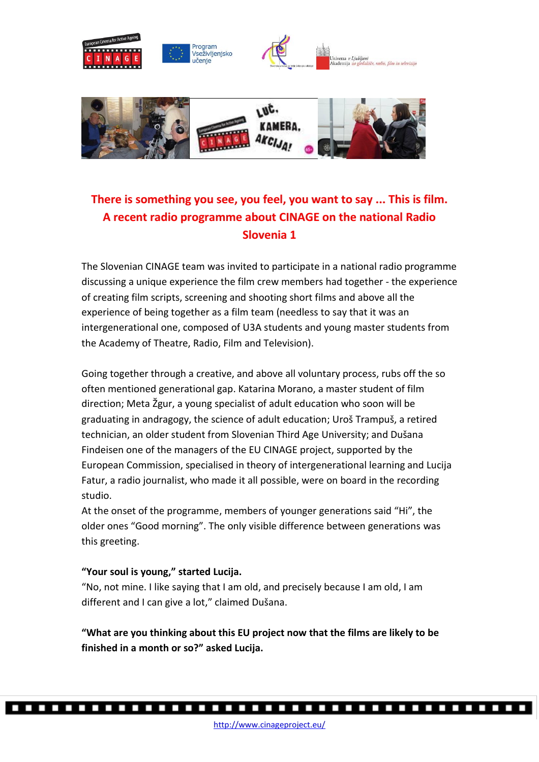

# **There is something you see, you feel, you want to say ... This is film. A recent radio programme about CINAGE on the national Radio Slovenia 1**

The Slovenian CINAGE team was invited to participate in a national radio programme discussing a unique experience the film crew members had together - the experience of creating film scripts, screening and shooting short films and above all the experience of being together as a film team (needless to say that it was an intergenerational one, composed of U3A students and young master students from the Academy of Theatre, Radio, Film and Television).

Going together through a creative, and above all voluntary process, rubs off the so often mentioned generational gap. Katarina Morano, a master student of film direction; Meta Žgur, a young specialist of adult education who soon will be graduating in andragogy, the science of adult education; Uroš Trampuš, a retired technician, an older student from Slovenian Third Age University; and Dušana Findeisen one of the managers of the EU CINAGE project, supported by the European Commission, specialised in theory of intergenerational learning and Lucija Fatur, a radio journalist, who made it all possible, were on board in the recording studio.

At the onset of the programme, members of younger generations said "Hi", the older ones "Good morning". The only visible difference between generations was this greeting.

# **"Your soul is young," started Lucija.**

"No, not mine. I like saying that I am old, and precisely because I am old, I am different and I can give a lot," claimed Dušana.

**"What are you thinking about this EU project now that the films are likely to be finished in a month or so?" asked Lucija.**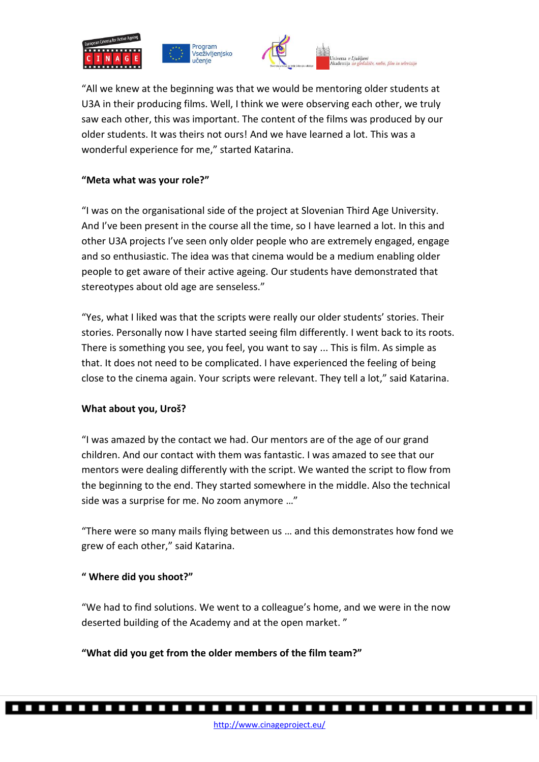





"All we knew at the beginning was that we would be mentoring older students at U3A in their producing films. Well, I think we were observing each other, we truly saw each other, this was important. The content of the films was produced by our older students. It was theirs not ours! And we have learned a lot. This was a wonderful experience for me," started Katarina.

# **"Meta what was your role?"**

"I was on the organisational side of the project at Slovenian Third Age University. And I've been present in the course all the time, so I have learned a lot. In this and other U3A projects I've seen only older people who are extremely engaged, engage and so enthusiastic. The idea was that cinema would be a medium enabling older people to get aware of their active ageing. Our students have demonstrated that stereotypes about old age are senseless."

"Yes, what I liked was that the scripts were really our older students' stories. Their stories. Personally now I have started seeing film differently. I went back to its roots. There is something you see, you feel, you want to say ... This is film. As simple as that. It does not need to be complicated. I have experienced the feeling of being close to the cinema again. Your scripts were relevant. They tell a lot," said Katarina.

# **What about you, Uroš?**

"I was amazed by the contact we had. Our mentors are of the age of our grand children. And our contact with them was fantastic. I was amazed to see that our mentors were dealing differently with the script. We wanted the script to flow from the beginning to the end. They started somewhere in the middle. Also the technical side was a surprise for me. No zoom anymore …"

"There were so many mails flying between us … and this demonstrates how fond we grew of each other," said Katarina.

# **" Where did you shoot?"**

"We had to find solutions. We went to a colleague's home, and we were in the now deserted building of the Academy and at the open market. "

**"What did you get from the older members of the film team?"**